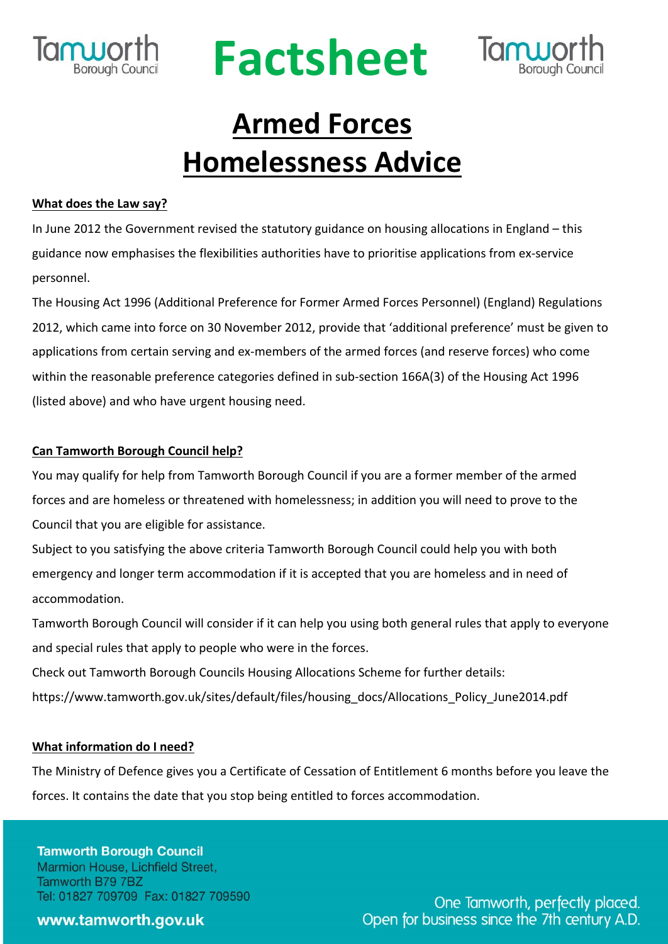

# **Factsheet**



# **Armed Forces Homelessness Advice**

## **What does the Law say?**

In June 2012 the Government revised the statutory guidance on housing allocations in England – this guidance now emphasises the flexibilities authorities have to prioritise applications from ex-service personnel.

The Housing Act 1996 (Additional Preference for Former Armed Forces Personnel) (England) Regulations 2012, which came into force on 30 November 2012, provide that 'additional preference' must be given to applications from certain serving and ex-members of the armed forces (and reserve forces) who come within the reasonable preference categories defined in sub-section 166A(3) of the Housing Act 1996 (listed above) and who have urgent housing need.

# **Can Tamworth Borough Council help?**

You may qualify for help from Tamworth Borough Council if you are a former member of the armed forces and are homeless or threatened with homelessness; in addition you will need to prove to the Council that you are eligible for assistance.

Subject to you satisfying the above criteria Tamworth Borough Council could help you with both emergency and longer term accommodation if it is accepted that you are homeless and in need of accommodation.

Tamworth Borough Council will consider if it can help you using both general rules that apply to everyone and special rules that apply to people who were in the forces.

Check out Tamworth Borough Councils Housing Allocations Scheme for further details: https://www.tamworth.gov.uk/sites/default/files/housing\_docs/Allocations\_Policy\_June2014.pdf

### **What information do I need?**

The Ministry of Defence gives you a Certificate of Cessation of Entitlement 6 months before you leave the forces. It contains the date that you stop being entitled to forces accommodation.

**Tamworth Borough Council** Marmion House, Lichfield Street, Tamworth B79 7BZ Tel: 01827 709709 Fax: 01827 709590

www.tamworth.gov.uk

One Tamworth, perfectly placed. Open for business since the 7th century A.D.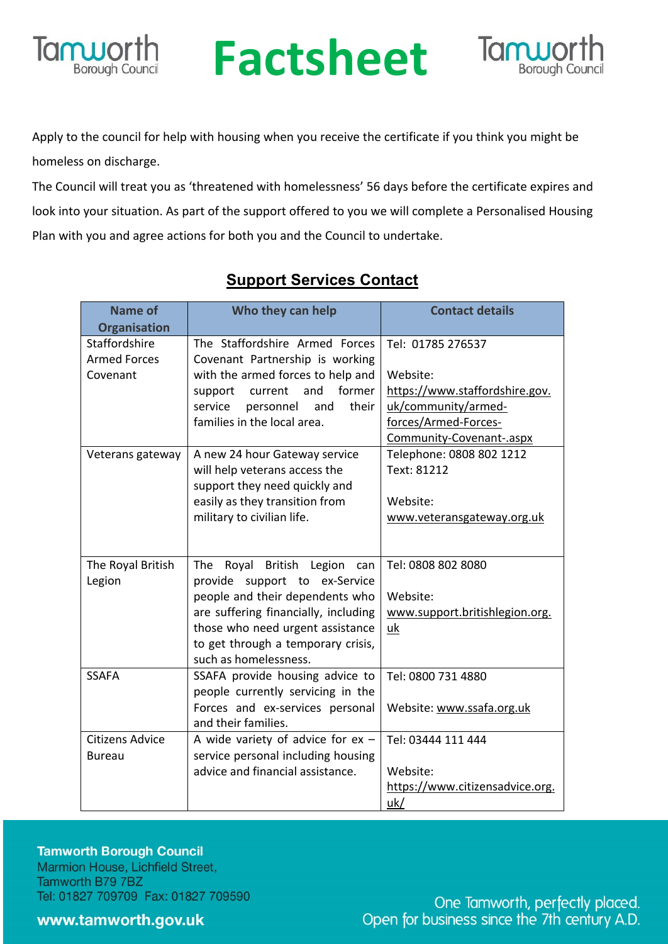

# **RUPOLING Factsheet**



Apply to the council for help with housing when you receive the certificate if you think you might be homeless on discharge.

The Council will treat you as 'threatened with homelessness' 56 days before the certificate expires and look into your situation. As part of the support offered to you we will complete a Personalised Housing Plan with you and agree actions for both you and the Council to undertake.

| <b>Name of</b>         | Who they can help                    | <b>Contact details</b>          |
|------------------------|--------------------------------------|---------------------------------|
| <b>Organisation</b>    |                                      |                                 |
| Staffordshire          | The Staffordshire Armed Forces       | Tel: 01785 276537               |
| <b>Armed Forces</b>    | Covenant Partnership is working      |                                 |
| Covenant               | with the armed forces to help and    | Website:                        |
|                        | former<br>and<br>support<br>current  | https://www.staffordshire.gov.  |
|                        | their<br>service<br>personnel<br>and | uk/community/armed-             |
|                        | families in the local area.          | forces/Armed-Forces-            |
|                        |                                      | Community-Covenant-.aspx        |
| Veterans gateway       | A new 24 hour Gateway service        | Telephone: 0808 802 1212        |
|                        | will help veterans access the        | Text: 81212                     |
|                        | support they need quickly and        |                                 |
|                        | easily as they transition from       | Website:                        |
|                        | military to civilian life.           | www.veteransgateway.org.uk      |
|                        |                                      |                                 |
| The Royal British      | The<br>Royal British Legion<br>can   | Tel: 0808 802 8080              |
| Legion                 | provide support to ex-Service        |                                 |
|                        | people and their dependents who      | Website:                        |
|                        | are suffering financially, including | www.support.britishlegion.org.  |
|                        | those who need urgent assistance     | uk                              |
|                        | to get through a temporary crisis,   |                                 |
|                        | such as homelessness.                |                                 |
| <b>SSAFA</b>           | SSAFA provide housing advice to      | Tel: 0800 731 4880              |
|                        | people currently servicing in the    |                                 |
|                        | Forces and ex-services personal      | Website: www.ssafa.org.uk       |
|                        | and their families.                  |                                 |
| <b>Citizens Advice</b> | A wide variety of advice for $ex -$  | Tel: 03444 111 444              |
| <b>Bureau</b>          | service personal including housing   |                                 |
|                        | advice and financial assistance.     | Website:                        |
|                        |                                      | https://www.citizensadvice.org. |
|                        |                                      | uk/                             |

# **Support Services Contact**

**Tamworth Borough Council** Marmion House, Lichfield Street, Tamworth B79 7BZ Tel: 01827 709709 Fax: 01827 709590

www.tamworth.gov.uk